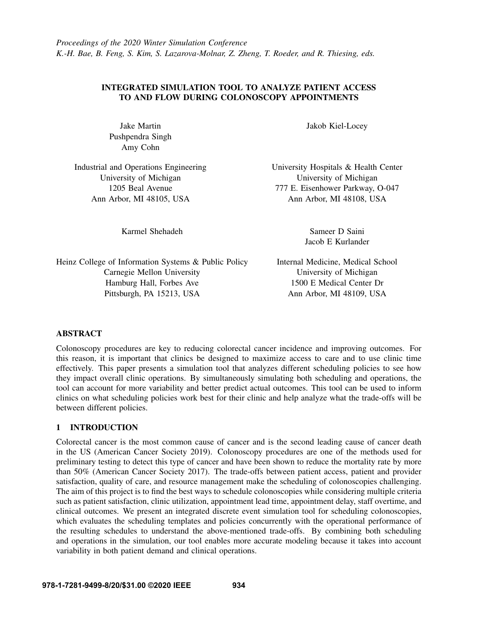## INTEGRATED SIMULATION TOOL TO ANALYZE PATIENT ACCESS TO AND FLOW DURING COLONOSCOPY APPOINTMENTS

Jake Martin Pushpendra Singh Amy Cohn

Industrial and Operations Engineering University of Michigan 1205 Beal Avenue Ann Arbor, MI 48105, USA

Jakob Kiel-Locey

University Hospitals & Health Center University of Michigan 777 E. Eisenhower Parkway, O-047 Ann Arbor, MI 48108, USA

> Sameer D Saini Jacob E Kurlander

Heinz College of Information Systems & Public Policy Carnegie Mellon University Hamburg Hall, Forbes Ave Pittsburgh, PA 15213, USA

Karmel Shehadeh

Internal Medicine, Medical School University of Michigan 1500 E Medical Center Dr Ann Arbor, MI 48109, USA

## ABSTRACT

Colonoscopy procedures are key to reducing colorectal cancer incidence and improving outcomes. For this reason, it is important that clinics be designed to maximize access to care and to use clinic time effectively. This paper presents a simulation tool that analyzes different scheduling policies to see how they impact overall clinic operations. By simultaneously simulating both scheduling and operations, the tool can account for more variability and better predict actual outcomes. This tool can be used to inform clinics on what scheduling policies work best for their clinic and help analyze what the trade-offs will be between different policies.

# 1 INTRODUCTION

Colorectal cancer is the most common cause of cancer and is the second leading cause of cancer death in the US (American Cancer Society 2019). Colonoscopy procedures are one of the methods used for preliminary testing to detect this type of cancer and have been shown to reduce the mortality rate by more than 50% (American Cancer Society 2017). The trade-offs between patient access, patient and provider satisfaction, quality of care, and resource management make the scheduling of colonoscopies challenging. The aim of this project is to find the best ways to schedule colonoscopies while considering multiple criteria such as patient satisfaction, clinic utilization, appointment lead time, appointment delay, staff overtime, and clinical outcomes. We present an integrated discrete event simulation tool for scheduling colonoscopies, which evaluates the scheduling templates and policies concurrently with the operational performance of the resulting schedules to understand the above-mentioned trade-offs. By combining both scheduling and operations in the simulation, our tool enables more accurate modeling because it takes into account variability in both patient demand and clinical operations.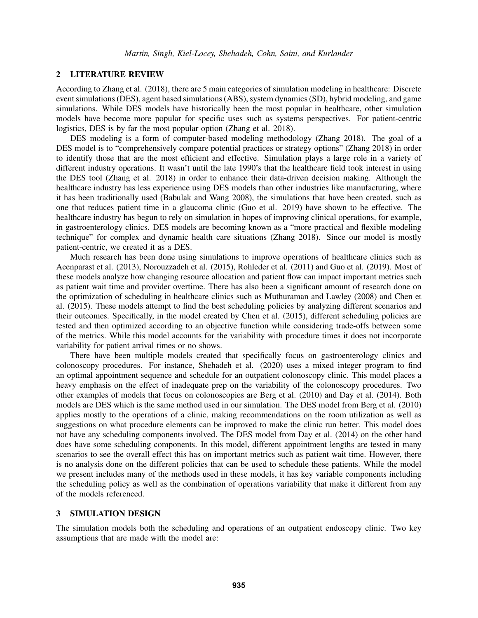#### 2 LITERATURE REVIEW

According to Zhang et al. (2018), there are 5 main categories of simulation modeling in healthcare: Discrete event simulations (DES), agent based simulations (ABS), system dynamics (SD), hybrid modeling, and game simulations. While DES models have historically been the most popular in healthcare, other simulation models have become more popular for specific uses such as systems perspectives. For patient-centric logistics, DES is by far the most popular option (Zhang et al. 2018).

DES modeling is a form of computer-based modeling methodology (Zhang 2018). The goal of a DES model is to "comprehensively compare potential practices or strategy options" (Zhang 2018) in order to identify those that are the most efficient and effective. Simulation plays a large role in a variety of different industry operations. It wasn't until the late 1990's that the healthcare field took interest in using the DES tool (Zhang et al. 2018) in order to enhance their data-driven decision making. Although the healthcare industry has less experience using DES models than other industries like manufacturing, where it has been traditionally used (Babulak and Wang 2008), the simulations that have been created, such as one that reduces patient time in a glaucoma clinic (Guo et al. 2019) have shown to be effective. The healthcare industry has begun to rely on simulation in hopes of improving clinical operations, for example, in gastroenterology clinics. DES models are becoming known as a "more practical and flexible modeling technique" for complex and dynamic health care situations (Zhang 2018). Since our model is mostly patient-centric, we created it as a DES.

Much research has been done using simulations to improve operations of healthcare clinics such as Aeenparast et al. (2013), Norouzzadeh et al. (2015), Rohleder et al. (2011) and Guo et al. (2019). Most of these models analyze how changing resource allocation and patient flow can impact important metrics such as patient wait time and provider overtime. There has also been a significant amount of research done on the optimization of scheduling in healthcare clinics such as Muthuraman and Lawley (2008) and Chen et al. (2015). These models attempt to find the best scheduling policies by analyzing different scenarios and their outcomes. Specifically, in the model created by Chen et al. (2015), different scheduling policies are tested and then optimized according to an objective function while considering trade-offs between some of the metrics. While this model accounts for the variability with procedure times it does not incorporate variability for patient arrival times or no shows.

There have been multiple models created that specifically focus on gastroenterology clinics and colonoscopy procedures. For instance, Shehadeh et al. (2020) uses a mixed integer program to find an optimal appointment sequence and schedule for an outpatient colonoscopy clinic. This model places a heavy emphasis on the effect of inadequate prep on the variability of the colonoscopy procedures. Two other examples of models that focus on colonoscopies are Berg et al. (2010) and Day et al. (2014). Both models are DES which is the same method used in our simulation. The DES model from Berg et al. (2010) applies mostly to the operations of a clinic, making recommendations on the room utilization as well as suggestions on what procedure elements can be improved to make the clinic run better. This model does not have any scheduling components involved. The DES model from Day et al. (2014) on the other hand does have some scheduling components. In this model, different appointment lengths are tested in many scenarios to see the overall effect this has on important metrics such as patient wait time. However, there is no analysis done on the different policies that can be used to schedule these patients. While the model we present includes many of the methods used in these models, it has key variable components including the scheduling policy as well as the combination of operations variability that make it different from any of the models referenced.

#### 3 SIMULATION DESIGN

The simulation models both the scheduling and operations of an outpatient endoscopy clinic. Two key assumptions that are made with the model are: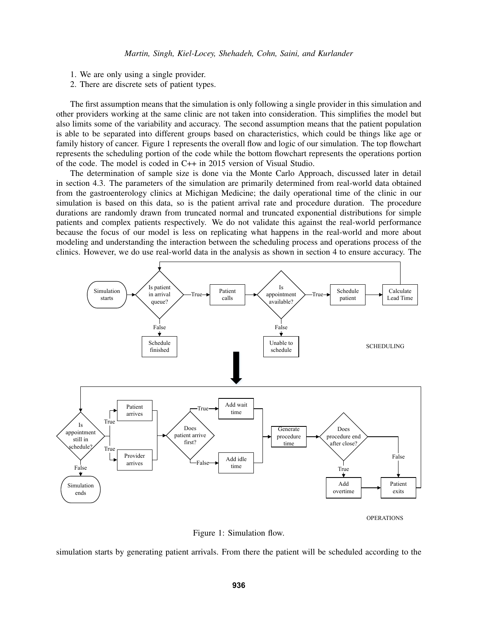- 1. We are only using a single provider.
- 2. There are discrete sets of patient types.

The first assumption means that the simulation is only following a single provider in this simulation and other providers working at the same clinic are not taken into consideration. This simplifies the model but also limits some of the variability and accuracy. The second assumption means that the patient population is able to be separated into different groups based on characteristics, which could be things like age or family history of cancer. [Figure 1](#page-2-0) represents the overall flow and logic of our simulation. The top flowchart represents the scheduling portion of the code while the bottom flowchart represents the operations portion of the code. The model is coded in C++ in 2015 version of Visual Studio.

The determination of sample size is done via the Monte Carlo Approach, discussed later in detail in section 4.3. The parameters of the simulation are primarily determined from real-world data obtained from the gastroenterology clinics at Michigan Medicine; the daily operational time of the clinic in our simulation is based on this data, so is the patient arrival rate and procedure duration. The procedure durations are randomly drawn from truncated normal and truncated exponential distributions for simple patients and complex patients respectively. We do not validate this against the real-world performance because the focus of our model is less on replicating what happens in the real-world and more about modeling and understanding the interaction between the scheduling process and operations process of the clinics. However, we do use real-world data in the analysis as shown in section 4 to ensure accuracy. The



**OPERATIONS** 

<span id="page-2-0"></span>Figure 1: Simulation flow.

simulation starts by generating patient arrivals. From there the patient will be scheduled according to the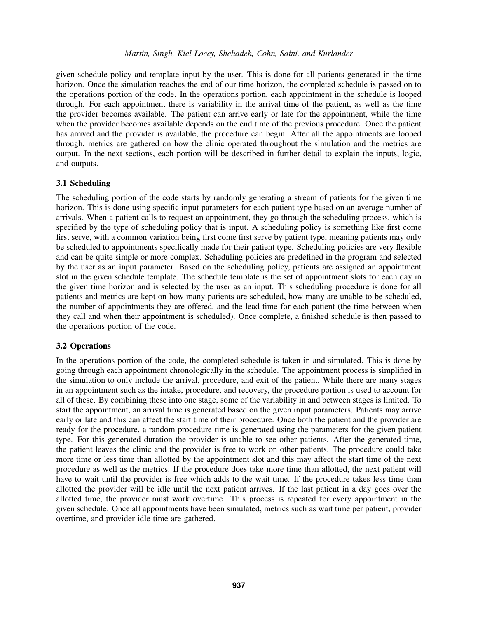### *Martin, Singh, Kiel-Locey, Shehadeh, Cohn, Saini, and Kurlander*

given schedule policy and template input by the user. This is done for all patients generated in the time horizon. Once the simulation reaches the end of our time horizon, the completed schedule is passed on to the operations portion of the code. In the operations portion, each appointment in the schedule is looped through. For each appointment there is variability in the arrival time of the patient, as well as the time the provider becomes available. The patient can arrive early or late for the appointment, while the time when the provider becomes available depends on the end time of the previous procedure. Once the patient has arrived and the provider is available, the procedure can begin. After all the appointments are looped through, metrics are gathered on how the clinic operated throughout the simulation and the metrics are output. In the next sections, each portion will be described in further detail to explain the inputs, logic, and outputs.

## 3.1 Scheduling

The scheduling portion of the code starts by randomly generating a stream of patients for the given time horizon. This is done using specific input parameters for each patient type based on an average number of arrivals. When a patient calls to request an appointment, they go through the scheduling process, which is specified by the type of scheduling policy that is input. A scheduling policy is something like first come first serve, with a common variation being first come first serve by patient type, meaning patients may only be scheduled to appointments specifically made for their patient type. Scheduling policies are very flexible and can be quite simple or more complex. Scheduling policies are predefined in the program and selected by the user as an input parameter. Based on the scheduling policy, patients are assigned an appointment slot in the given schedule template. The schedule template is the set of appointment slots for each day in the given time horizon and is selected by the user as an input. This scheduling procedure is done for all patients and metrics are kept on how many patients are scheduled, how many are unable to be scheduled, the number of appointments they are offered, and the lead time for each patient (the time between when they call and when their appointment is scheduled). Once complete, a finished schedule is then passed to the operations portion of the code.

## 3.2 Operations

In the operations portion of the code, the completed schedule is taken in and simulated. This is done by going through each appointment chronologically in the schedule. The appointment process is simplified in the simulation to only include the arrival, procedure, and exit of the patient. While there are many stages in an appointment such as the intake, procedure, and recovery, the procedure portion is used to account for all of these. By combining these into one stage, some of the variability in and between stages is limited. To start the appointment, an arrival time is generated based on the given input parameters. Patients may arrive early or late and this can affect the start time of their procedure. Once both the patient and the provider are ready for the procedure, a random procedure time is generated using the parameters for the given patient type. For this generated duration the provider is unable to see other patients. After the generated time, the patient leaves the clinic and the provider is free to work on other patients. The procedure could take more time or less time than allotted by the appointment slot and this may affect the start time of the next procedure as well as the metrics. If the procedure does take more time than allotted, the next patient will have to wait until the provider is free which adds to the wait time. If the procedure takes less time than allotted the provider will be idle until the next patient arrives. If the last patient in a day goes over the allotted time, the provider must work overtime. This process is repeated for every appointment in the given schedule. Once all appointments have been simulated, metrics such as wait time per patient, provider overtime, and provider idle time are gathered.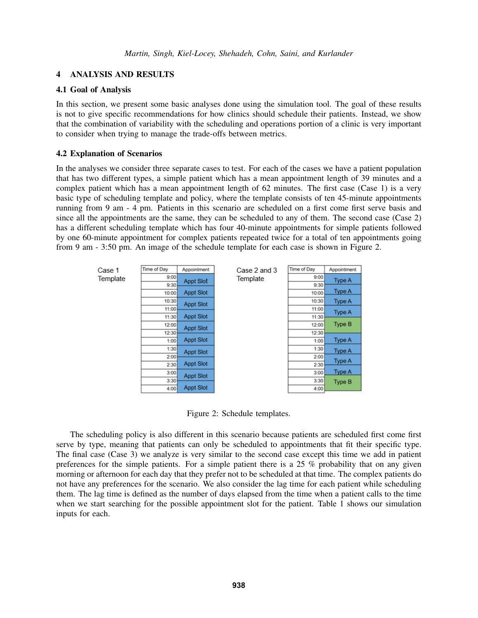## 4 ANALYSIS AND RESULTS

## 4.1 Goal of Analysis

In this section, we present some basic analyses done using the simulation tool. The goal of these results is not to give specific recommendations for how clinics should schedule their patients. Instead, we show that the combination of variability with the scheduling and operations portion of a clinic is very important to consider when trying to manage the trade-offs between metrics.

## 4.2 Explanation of Scenarios

In the analyses we consider three separate cases to test. For each of the cases we have a patient population that has two different types, a simple patient which has a mean appointment length of 39 minutes and a complex patient which has a mean appointment length of 62 minutes. The first case (Case 1) is a very basic type of scheduling template and policy, where the template consists of ten 45-minute appointments running from 9 am - 4 pm. Patients in this scenario are scheduled on a first come first serve basis and since all the appointments are the same, they can be scheduled to any of them. The second case (Case 2) has a different scheduling template which has four 40-minute appointments for simple patients followed by one 60-minute appointment for complex patients repeated twice for a total of ten appointments going from 9 am - 3:50 pm. An image of the schedule template for each case is shown in [Figure 2.](#page-4-0)

| Case 1   | Time of Day | Appointment      | Case 2 and 3 | Time of Day | Appointment   |
|----------|-------------|------------------|--------------|-------------|---------------|
| Template | 9:00        | <b>Appt Slot</b> | Template     | 9:00        | <b>Type A</b> |
|          | 9:30        |                  |              | 9:30        |               |
|          | 10:00       | <b>Appt Slot</b> |              | 10:00       | <b>Type A</b> |
|          | 10:30       | <b>Appt Slot</b> |              | 10:30       | <b>Type A</b> |
|          | 11:00       |                  |              | 11:00       | <b>Type A</b> |
|          | 11:30       | <b>Appt Slot</b> |              | 11:30       |               |
|          | 12:00       | <b>Appt Slot</b> |              | 12:00       | <b>Type B</b> |
|          | 12:30       |                  |              | 12:30       |               |
|          | 1:00        | <b>Appt Slot</b> |              | 1:00        | <b>Type A</b> |
|          | 1:30        | <b>Appt Slot</b> |              | 1:30        | <b>Type A</b> |
|          | 2:00        |                  |              | 2:00        |               |
|          | 2:30        | <b>Appt Slot</b> |              | 2:30        | <b>Type A</b> |
|          | 3:00        | <b>Appt Slot</b> |              | 3:00        | <b>Type A</b> |
|          | 3:30        |                  |              | 3:30        | <b>Type B</b> |
|          | 4:00        | <b>Appt Slot</b> |              | 4:00        |               |

<span id="page-4-0"></span>Figure 2: Schedule templates.

The scheduling policy is also different in this scenario because patients are scheduled first come first serve by type, meaning that patients can only be scheduled to appointments that fit their specific type. The final case (Case 3) we analyze is very similar to the second case except this time we add in patient preferences for the simple patients. For a simple patient there is a 25 % probability that on any given morning or afternoon for each day that they prefer not to be scheduled at that time. The complex patients do not have any preferences for the scenario. We also consider the lag time for each patient while scheduling them. The lag time is defined as the number of days elapsed from the time when a patient calls to the time when we start searching for the possible appointment slot for the patient. [Table 1](#page-5-0) shows our simulation inputs for each.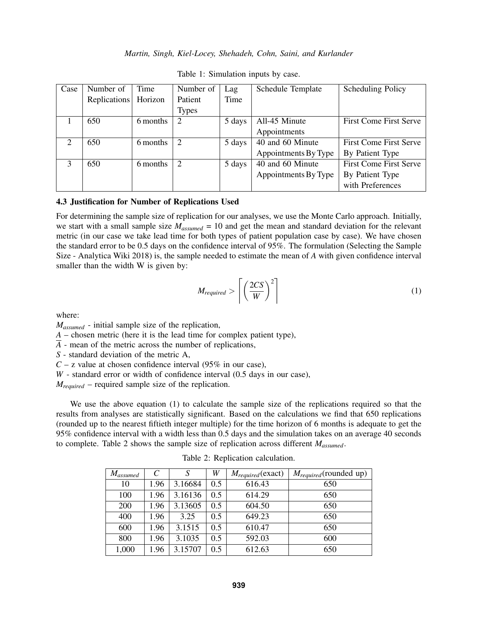| Case                        | Number of    | Time     | Number of    | Lag    | Schedule Template    | <b>Scheduling Policy</b>      |
|-----------------------------|--------------|----------|--------------|--------|----------------------|-------------------------------|
|                             | Replications | Horizon  | Patient      | Time   |                      |                               |
|                             |              |          | <b>Types</b> |        |                      |                               |
|                             | 650          | 6 months | 2            | 5 days | All-45 Minute        | <b>First Come First Serve</b> |
|                             |              |          |              |        | Appointments         |                               |
| $\mathcal{D}_{\mathcal{L}}$ | 650          | 6 months | 2            | 5 days | 40 and 60 Minute     | <b>First Come First Serve</b> |
|                             |              |          |              |        | Appointments By Type | By Patient Type               |
| $\mathcal{R}$               | 650          | 6 months | 2            | 5 days | 40 and 60 Minute     | <b>First Come First Serve</b> |
|                             |              |          |              |        | Appointments By Type | By Patient Type               |
|                             |              |          |              |        |                      | with Preferences              |

<span id="page-5-0"></span>Table 1: Simulation inputs by case.

#### 4.3 Justification for Number of Replications Used

For determining the sample size of replication for our analyses, we use the Monte Carlo approach. Initially, we start with a small sample size *Massumed* = 10 and get the mean and standard deviation for the relevant metric (in our case we take lead time for both types of patient population case by case). We have chosen the standard error to be 0.5 days on the confidence interval of 95%. The formulation (Selecting the Sample Size - Analytica Wiki 2018) is, the sample needed to estimate the mean of *A* with given confidence interval smaller than the width W is given by:

$$
M_{required} > \left[ \left( \frac{2CS}{W} \right)^2 \right] \tag{1}
$$

where:

*Massumed* - initial sample size of the replication,

*A* – chosen metric (here it is the lead time for complex patient type),

 $\overline{A}$  - mean of the metric across the number of replications,

*S* - standard deviation of the metric A,

 $C - z$  value at chosen confidence interval (95% in our case),

*W* - standard error or width of confidence interval (0.5 days in our case),

*Mrequired* – required sample size of the replication.

We use the above equation (1) to calculate the sample size of the replications required so that the results from analyses are statistically significant. Based on the calculations we find that 650 replications (rounded up to the nearest fiftieth integer multiple) for the time horizon of 6 months is adequate to get the 95% confidence interval with a width less than 0.5 days and the simulation takes on an average 40 seconds to complete. [Table 2](#page-5-1) shows the sample size of replication across different *Massumed*.

| $M_{assumed}$ | C    | S       | W   | $M_{required}$ (exact) | $M_{required}$ (rounded up) |
|---------------|------|---------|-----|------------------------|-----------------------------|
| 10            | 1.96 | 3.16684 | 0.5 | 616.43                 | 650                         |
| 100           | 1.96 | 3.16136 | 0.5 | 614.29                 | 650                         |
| 200           | 1.96 | 3.13605 | 0.5 | 604.50                 | 650                         |
| 400           | 1.96 | 3.25    | 0.5 | 649.23                 | 650                         |
| 600           | 1.96 | 3.1515  | 0.5 | 610.47                 | 650                         |
| 800           | 1.96 | 3.1035  | 0.5 | 592.03                 | 600                         |
| 1,000         | 1.96 | 3.15707 | 0.5 | 612.63                 | 650                         |

<span id="page-5-1"></span>Table 2: Replication calculation.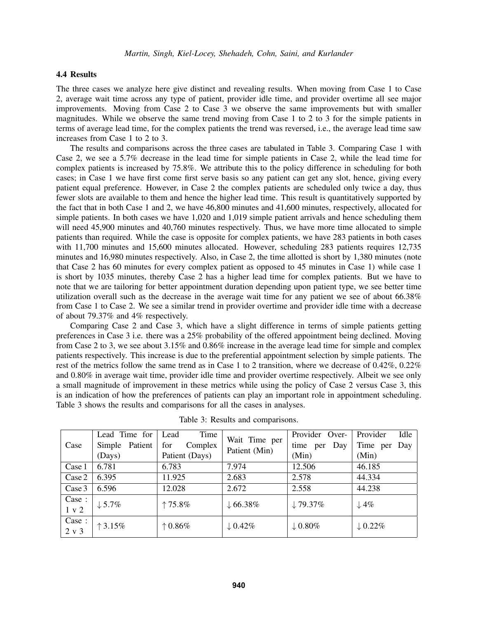## 4.4 Results

The three cases we analyze here give distinct and revealing results. When moving from Case 1 to Case 2, average wait time across any type of patient, provider idle time, and provider overtime all see major improvements. Moving from Case 2 to Case 3 we observe the same improvements but with smaller magnitudes. While we observe the same trend moving from Case 1 to 2 to 3 for the simple patients in terms of average lead time, for the complex patients the trend was reversed, i.e., the average lead time saw increases from Case 1 to 2 to 3.

The results and comparisons across the three cases are tabulated in [Table 3.](#page-6-0) Comparing Case 1 with Case 2, we see a 5.7% decrease in the lead time for simple patients in Case 2, while the lead time for complex patients is increased by 75.8%. We attribute this to the policy difference in scheduling for both cases; in Case 1 we have first come first serve basis so any patient can get any slot, hence, giving every patient equal preference. However, in Case 2 the complex patients are scheduled only twice a day, thus fewer slots are available to them and hence the higher lead time. This result is quantitatively supported by the fact that in both Case 1 and 2, we have 46,800 minutes and 41,600 minutes, respectively, allocated for simple patients. In both cases we have 1,020 and 1,019 simple patient arrivals and hence scheduling them will need 45,900 minutes and 40,760 minutes respectively. Thus, we have more time allocated to simple patients than required. While the case is opposite for complex patients, we have 283 patients in both cases with 11,700 minutes and 15,600 minutes allocated. However, scheduling 283 patients requires 12,735 minutes and 16,980 minutes respectively. Also, in Case 2, the time allotted is short by 1,380 minutes (note that Case 2 has 60 minutes for every complex patient as opposed to 45 minutes in Case 1) while case 1 is short by 1035 minutes, thereby Case 2 has a higher lead time for complex patients. But we have to note that we are tailoring for better appointment duration depending upon patient type, we see better time utilization overall such as the decrease in the average wait time for any patient we see of about 66.38% from Case 1 to Case 2. We see a similar trend in provider overtime and provider idle time with a decrease of about 79.37% and 4% respectively.

Comparing Case 2 and Case 3, which have a slight difference in terms of simple patients getting preferences in Case 3 i.e. there was a 25% probability of the offered appointment being declined. Moving from Case 2 to 3, we see about 3.15% and 0.86% increase in the average lead time for simple and complex patients respectively. This increase is due to the preferential appointment selection by simple patients. The rest of the metrics follow the same trend as in Case 1 to 2 transition, where we decrease of 0.42%, 0.22% and 0.80% in average wait time, provider idle time and provider overtime respectively. Albeit we see only a small magnitude of improvement in these metrics while using the policy of Case 2 versus Case 3, this is an indication of how the preferences of patients can play an important role in appointment scheduling. [Table 3](#page-6-0) shows the results and comparisons for all the cases in analyses.

| Case   | Lead Time for     | Time<br>Lead     | Wait Time per<br>Patient (Min) | Provider Over-      | Provider<br>Idle   |  |
|--------|-------------------|------------------|--------------------------------|---------------------|--------------------|--|
|        | Simple Patient    | for<br>Complex   |                                | Day<br>time<br>per  | Time per<br>Day    |  |
|        | (Days)            | Patient (Days)   |                                | (Min)               | (Min)              |  |
| Case 1 | 6.781             | 6.783            | 7.974                          | 12.506              | 46.185             |  |
| Case 2 | 6.395             | 11.925           | 2.683                          | 2.578               | 44.334             |  |
| Case 3 | 6.596             | 12.028           | 2.672                          | 2.558               | 44.238             |  |
| Case:  | $\downarrow$ 5.7% | $\uparrow$ 75.8% | $\downarrow$ 66.38%            | $\downarrow$ 79.37% | $\downarrow$ 4%    |  |
| 1 v 2  |                   |                  |                                |                     |                    |  |
| Case:  | $\uparrow$ 3.15%  | $\uparrow$ 0.86% | $\downarrow$ 0.42%             | $\downarrow 0.80\%$ | $\downarrow$ 0.22% |  |
| 2 v 3  |                   |                  |                                |                     |                    |  |

<span id="page-6-0"></span>Table 3: Results and comparisons.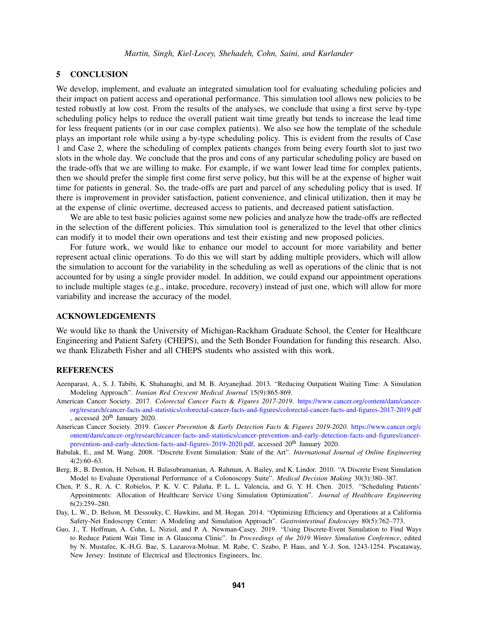### 5 CONCLUSION

We develop, implement, and evaluate an integrated simulation tool for evaluating scheduling policies and their impact on patient access and operational performance. This simulation tool allows new policies to be tested robustly at low cost. From the results of the analyses, we conclude that using a first serve by-type scheduling policy helps to reduce the overall patient wait time greatly but tends to increase the lead time for less frequent patients (or in our case complex patients). We also see how the template of the schedule plays an important role while using a by-type scheduling policy. This is evident from the results of Case 1 and Case 2, where the scheduling of complex patients changes from being every fourth slot to just two slots in the whole day. We conclude that the pros and cons of any particular scheduling policy are based on the trade-offs that we are willing to make. For example, if we want lower lead time for complex patients, then we should prefer the simple first come first serve policy, but this will be at the expense of higher wait time for patients in general. So, the trade-offs are part and parcel of any scheduling policy that is used. If there is improvement in provider satisfaction, patient convenience, and clinical utilization, then it may be at the expense of clinic overtime, decreased access to patients, and decreased patient satisfaction.

We are able to test basic policies against some new policies and analyze how the trade-offs are reflected in the selection of the different policies. This simulation tool is generalized to the level that other clinics can modify it to model their own operations and test their existing and new proposed policies.

For future work, we would like to enhance our model to account for more variability and better represent actual clinic operations. To do this we will start by adding multiple providers, which will allow the simulation to account for the variability in the scheduling as well as operations of the clinic that is not accounted for by using a single provider model. In addition, we could expand our appointment operations to include multiple stages (e.g., intake, procedure, recovery) instead of just one, which will allow for more variability and increase the accuracy of the model.

### ACKNOWLEDGEMENTS

We would like to thank the University of Michigan-Rackham Graduate School, the Center for Healthcare Engineering and Patient Safety (CHEPS), and the Seth Bonder Foundation for funding this research. Also, we thank Elizabeth Fisher and all CHEPS students who assisted with this work.

#### **REFERENCES**

- Aeenparast, A., S. J. Tabibi, K. Shahanaghi, and M. B. Aryanejhad. 2013. "Reducing Outpatient Waiting Time: A Simulation Modeling Approach". *Iranian Red Crescent Medical Journal* 15(9):865-869.
- American Cancer Society. 2017. *Colorectal Cancer Facts* & *Figures 2017-2019*. [https://www.cancer.org/content/dam/cancer](https://www.cancer.org/content/dam/cancer-org/research/cancer-facts-and-statistics/colorectal-cancer-facts-and-figures/colorectal-cancer-facts-and-figures-2017-2019.pdf)[org/research/cancer-facts-and-statistics/colorectal-cancer-facts-and-figures/colorectal-cancer-facts-and-figures-2017-2019.pdf](https://www.cancer.org/content/dam/cancer-org/research/cancer-facts-and-statistics/colorectal-cancer-facts-and-figures/colorectal-cancer-facts-and-figures-2017-2019.pdf) , accessed 20th January 2020.
- American Cancer Society. 2019. *Cancer Prevention* & *Early Detection Facts* & *Figures 2019-2020*. [https://www.cancer.org/c](https://www.cancer.org/content/dam/cancer-org/research/cancer-facts-and-statistics/cancer-prevention-and-early-detection-facts-and-figures/cancer-prevention-and-early-detection-facts-and-figures-2019-2020.pdf) [ontent/dam/cancer-org/research/cancer-facts-and-statistics/cancer-prevention-and-early-detection-facts-and-figures/cancer](https://www.cancer.org/content/dam/cancer-org/research/cancer-facts-and-statistics/cancer-prevention-and-early-detection-facts-and-figures/cancer-prevention-and-early-detection-facts-and-figures-2019-2020.pdf)[prevention-and-early-detection-facts-and-figures-2019-2020.pdf,](https://www.cancer.org/content/dam/cancer-org/research/cancer-facts-and-statistics/cancer-prevention-and-early-detection-facts-and-figures/cancer-prevention-and-early-detection-facts-and-figures-2019-2020.pdf) accessed 20<sup>th</sup> January 2020.
- Babulak, E., and M. Wang. 2008. "Discrete Event Simulation: State of the Art". *International Journal of Online Engineering* 4(2):60–63.
- Berg, B., B. Denton, H. Nelson, H. Balasubramanian, A. Rahman, A. Bailey, and K. Lindor. 2010. "A Discrete Event Simulation Model to Evaluate Operational Performance of a Colonoscopy Suite". *Medical Decision Making* 30(3):380–387.
- Chen, P. S., R. A. C. Robielos, P. K. V. C. Palaña, P. L. L. Valencia, and G. Y. H. Chen. 2015. "Scheduling Patients' Appointments: Allocation of Healthcare Service Using Simulation Optimization". *Journal of Healthcare Engineering* 6(2):259–280.
- Day, L. W., D. Belson, M. Dessouky, C. Hawkins, and M. Hogan. 2014. "Optimizing Efficiency and Operations at a California Safety-Net Endoscopy Center: A Modeling and Simulation Approach". *Gastrointestinal Endoscopy* 80(5):762–773.
- Guo, J., T. Hoffman, A. Cohn, L. Niziol, and P. A. Newman-Casey. 2019. "Using Discrete-Event Simulation to Find Ways to Reduce Patient Wait Time in A Glaucoma Clinic". In *Proceedings of the 2019 Winter Simulation Conference*, edited by N. Mustafee, K.-H.G. Bae, S. Lazarova-Molnar, M. Rabe, C. Szabo, P. Haas, and Y.-J. Son, 1243-1254. Piscataway, New Jersey: Institute of Electrical and Electronics Engineers, Inc.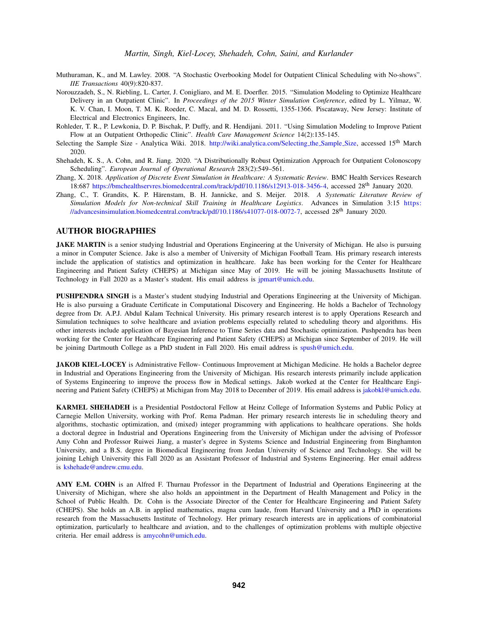- Muthuraman, K., and M. Lawley. 2008. "A Stochastic Overbooking Model for Outpatient Clinical Scheduling with No-shows". *IIE Transactions* 40(9):820-837.
- Norouzzadeh, S., N. Riebling, L. Carter, J. Conigliaro, and M. E. Doerfler. 2015. "Simulation Modeling to Optimize Healthcare Delivery in an Outpatient Clinic". In *Proceedings of the 2015 Winter Simulation Conference*, edited by L. Yilmaz, W. K. V. Chan, I. Moon, T. M. K. Roeder, C. Macal, and M. D. Rossetti, 1355-1366. Piscataway, New Jersey: Institute of Electrical and Electronics Engineers, Inc.
- Rohleder, T. R., P. Lewkonia, D. P. Bischak, P. Duffy, and R. Hendijani. 2011. "Using Simulation Modeling to Improve Patient Flow at an Outpatient Orthopedic Clinic". *Health Care Management Science* 14(2):135-145.
- Selecting the Sample Size Analytica Wiki. 2018. [http://wiki.analytica.com/Selecting](http://wiki.analytica.com/Selecting$_$the$_$Sample$_$Size) the Sample Size, accessed 15th March 2020.
- Shehadeh, K. S., A. Cohn, and R. Jiang. 2020. "A Distributionally Robust Optimization Approach for Outpatient Colonoscopy Scheduling". *European Journal of Operational Research* 283(2):549–561.
- Zhang, X. 2018. *Application of Discrete Event Simulation in Healthcare: A Systematic Review*. BMC Health Services Research 18:687 [https://bmchealthservres.biomedcentral.com/track/pdf/10.1186/s12913-018-3456-4,](https://bmchealthservres.biomedcentral.com/track/pdf/10.1186/s12913-018-3456-4) accessed 28th January 2020.
- Zhang, C., T. Grandits, K. P. Harenstam, B. H. Jannicke, and S. Meijer. 2018. ¨ *A Systematic Literature Review of Simulation Models for Non-technical Skill Training in Healthcare Logistics*. Advances in Simulation 3:15 [https:](https://advancesinsimulation.biomedcentral.com/track/pdf/10.1186/s41077-018-0072-7) [//advancesinsimulation.biomedcentral.com/track/pdf/10.1186/s41077-018-0072-7,](https://advancesinsimulation.biomedcentral.com/track/pdf/10.1186/s41077-018-0072-7) accessed 28th January 2020.

## AUTHOR BIOGRAPHIES

JAKE MARTIN is a senior studying Industrial and Operations Engineering at the University of Michigan. He also is pursuing a minor in Computer Science. Jake is also a member of University of Michigan Football Team. His primary research interests include the application of statistics and optimization in healthcare. Jake has been working for the Center for Healthcare Engineering and Patient Safety (CHEPS) at Michigan since May of 2019. He will be joining Massachusetts Institute of Technology in Fall 2020 as a Master's student. His email address is [jpmart@umich.edu.](mailto:jpmart@umich.edu)

PUSHPENDRA SINGH is a Master's student studying Industrial and Operations Engineering at the University of Michigan. He is also pursuing a Graduate Certificate in Computational Discovery and Engineering. He holds a Bachelor of Technology degree from Dr. A.P.J. Abdul Kalam Technical University. His primary research interest is to apply Operations Research and Simulation techniques to solve healthcare and aviation problems especially related to scheduling theory and algorithms. His other interests include application of Bayesian Inference to Time Series data and Stochastic optimization. Pushpendra has been working for the Center for Healthcare Engineering and Patient Safety (CHEPS) at Michigan since September of 2019. He will be joining Dartmouth College as a PhD student in Fall 2020. His email address is [spush@umich.edu.](mailto:spush@umich.edu)

JAKOB KIEL-LOCEY is Administrative Fellow- Continuous Improvement at Michigan Medicine. He holds a Bachelor degree in Industrial and Operations Engineering from the University of Michigan. His research interests primarily include application of Systems Engineering to improve the process flow in Medical settings. Jakob worked at the Center for Healthcare Engineering and Patient Safety (CHEPS) at Michigan from May 2018 to December of 2019. His email address is [jakobkl@umich.edu.](mailto:jakobkl@umich.edu)

KARMEL SHEHADEH is a Presidential Postdoctoral Fellow at Heinz College of Information Systems and Public Policy at Carnegie Mellon University, working with Prof. Rema Padman. Her primary research interests lie in scheduling theory and algorithms, stochastic optimization, and (mixed) integer programming with applications to healthcare operations. She holds a doctoral degree in Industrial and Operations Engineering from the University of Michigan under the advising of Professor Amy Cohn and Professor Ruiwei Jiang, a master's degree in Systems Science and Industrial Engineering from Binghamton University, and a B.S. degree in Biomedical Engineering from Jordan University of Science and Technology. She will be joining Lehigh University this Fall 2020 as an Assistant Professor of Industrial and Systems Engineering. Her email address is [kshehade@andrew.cmu.edu.](mailto:kshehade@andrew.cmu.edu)

AMY E.M. COHN is an Alfred F. Thurnau Professor in the Department of Industrial and Operations Engineering at the University of Michigan, where she also holds an appointment in the Department of Health Management and Policy in the School of Public Health. Dr. Cohn is the Associate Director of the Center for Healthcare Engineering and Patient Safety (CHEPS). She holds an A.B. in applied mathematics, magna cum laude, from Harvard University and a PhD in operations research from the Massachusetts Institute of Technology. Her primary research interests are in applications of combinatorial optimization, particularly to healthcare and aviation, and to the challenges of optimization problems with multiple objective criteria. Her email address is [amycohn@umich.edu.](mailto:amycohn@umich.edu)